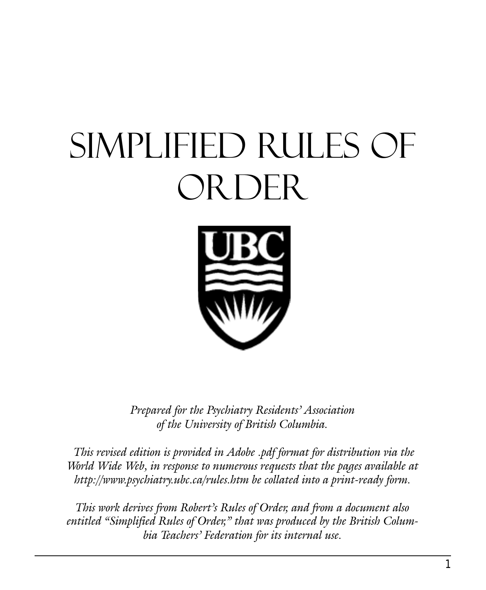# Simplified Rules of ORDER



Prepared for the Psychiatry Residents' Association of the University of British Columbia.

 This revised edition is provided in Adobe .pdf format for distribution via the World Wide Web, in response to numerous requests that the pages available at http://www.psychiatry.ubc.ca/rules.htm be collated into a print-ready form.

This work derives from Robert's Rules of Order, and from a document also entitled "Simplified Rules of Order," that was produced by the British Columbia Teachers' Federation for its internal use.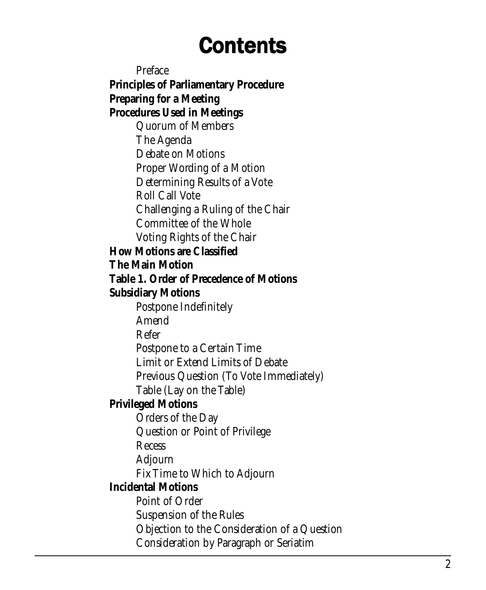# **Contents**

Preface **Principles of Parliamentary Procedure Preparing for a Meeting Procedures Used in Meetings** Quorum of Members The Agenda Debate on Motions Proper Wording of a Motion Determining Results of a Vote Roll Call Vote Challenging a Ruling of the Chair Committee of the Whole Voting Rights of the Chair **How Motions are Classified The Main Motion Table 1. Order of Precedence of Motions Subsidiary Motions** Postpone Indefinitely Amend Refer Postpone to a Certain Time Limit or Extend Limits of Debate Previous Question (To Vote Immediately) Table (Lay on the Table) **Privileged Motions** Orders of the Day Question or Point of Privilege **Recess** Adjourn Fix Time to Which to Adjourn **Incidental Motions** Point of Order Suspension of the Rules Objection to the Consideration of a Question Consideration by Paragraph or Seriatim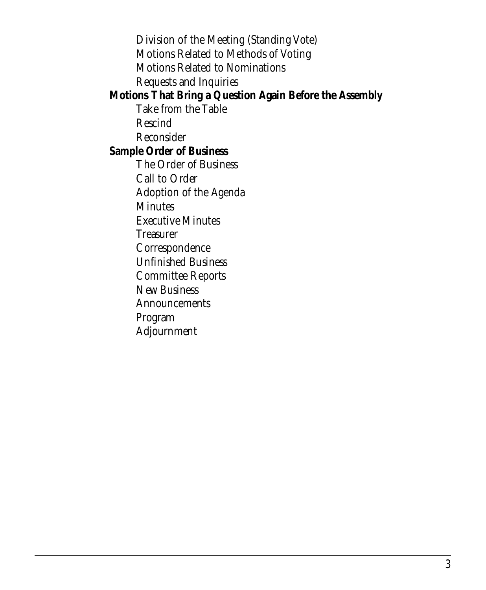Division of the Meeting (Standing Vote) Motions Related to Methods of Voting Motions Related to Nominations Requests and Inquiries **Motions That Bring a Question Again Before the Assembly** Take from the Table Rescind Reconsider **Sample Order of Business** The Order of Business Call to Order Adoption of the Agenda **Minutes** Executive Minutes **Treasurer** Correspondence Unfinished Business Committee Reports New Business **Announcements** Program Adjournment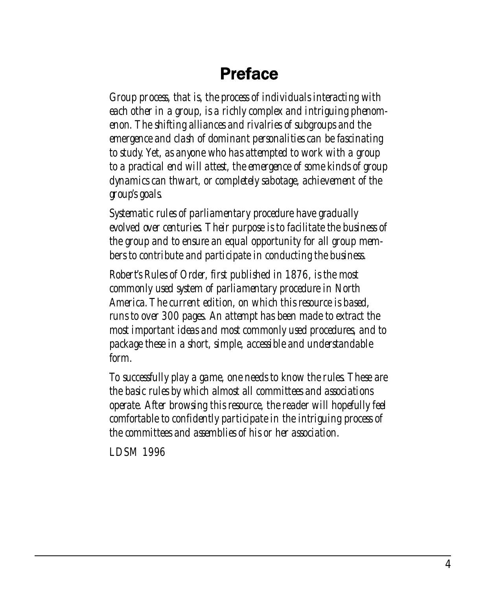#### **Preface**

*Group process, that is, the process of individuals interacting with each other in a group, is a richly complex and intriguing phenomenon. The shifting alliances and rivalries of subgroups and the emergence and clash of dominant personalities can be fascinating to study. Yet, as anyone who has attempted to work with a group to a practical end will attest, the emergence of some kinds of group dynamics can thwart, or completely sabotage, achievement of the group's goals.*

*Systematic rules of parliamentary procedure have gradually evolved over centuries. Their purpose is to facilitate the business of the group and to ensure an equal opportunity for all group members to contribute and participate in conducting the business.*

*Robert's Rules of Order, first published in 1876, is the most commonly used system of parliamentary procedure in North America. The current edition, on which this resource is based, runs to over 300 pages. An attempt has been made to extract the most important ideas and most commonly used procedures, and to package these in a short, simple, accessible and understandable form.*

*To successfully play a game, one needs to know the rules. These are the basic rules by which almost all committees and associations operate. After browsing this resource, the reader will hopefully feel comfortable to confidently participate in the intriguing process of the committees and assemblies of his or her association.*

*LDSM 1996*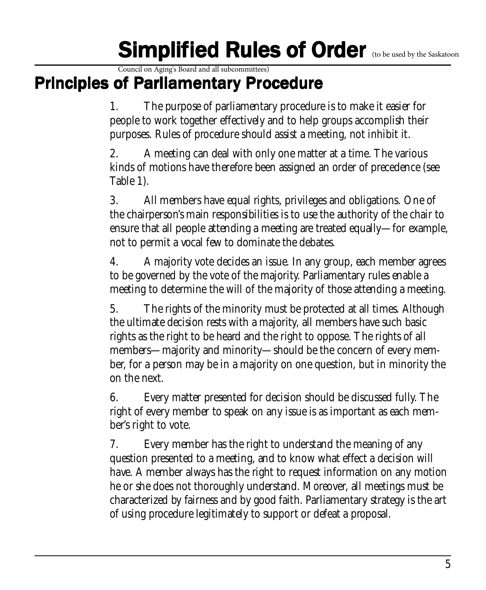# Simplified Rules of Order (to be used by the Saskatoon

Council on Aging's Board and all subcommittees)

#### Principles of Parliamentary Procedure

1. The purpose of parliamentary procedure is to make it easier for people to work together effectively and to help groups accomplish their purposes. Rules of procedure should assist a meeting, not inhibit it.

2. A meeting can deal with only one matter at a time. The various kinds of motions have therefore been assigned an order of precedence (see Table 1).

3. All members have equal rights, privileges and obligations. One of the chairperson's main responsibilities is to use the authority of the chair to ensure that all people attending a meeting are treated equally—for example, not to permit a vocal few to dominate the debates.

4. A majority vote decides an issue. In any group, each member agrees to be governed by the vote of the majority. Parliamentary rules enable a meeting to determine the will of the majority of those attending a meeting.

5. The rights of the minority must be protected at all times. Although the ultimate decision rests with a majority, all members have such basic rights as the right to be heard and the right to oppose. The rights of all members—majority and minority—should be the concern of every member, for a person may be in a majority on one question, but in minority the on the next.

6. Every matter presented for decision should be discussed fully. The right of every member to speak on any issue is as important as each member's right to vote.

7. Every member has the right to understand the meaning of any question presented to a meeting, and to know what effect a decision will have. A member always has the right to request information on any motion he or she does not thoroughly understand. Moreover, all meetings must be characterized by fairness and by good faith. Parliamentary strategy is the art of using procedure legitimately to support or defeat a proposal.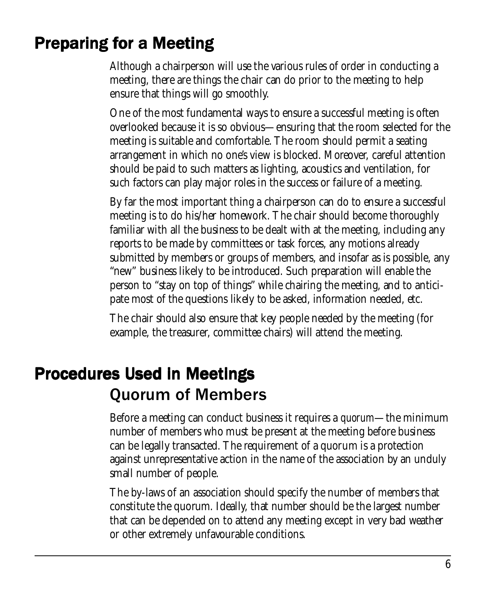# Preparing for a Meeting

Although a chairperson will use the various rules of order in conducting a meeting, there are things the chair can do prior to the meeting to help ensure that things will go smoothly.

One of the most fundamental ways to ensure a successful meeting is often overlooked because it is so obvious—ensuring that the room selected for the meeting is suitable and comfortable. The room should permit a seating arrangement in which no one's view is blocked. Moreover, careful attention should be paid to such matters as lighting, acoustics and ventilation, for such factors can play major roles in the success or failure of a meeting.

By far the most important thing a chairperson can do to ensure a successful meeting is to do his/her homework. The chair should become thoroughly familiar with all the business to be dealt with at the meeting, including any reports to be made by committees or task forces, any motions already submitted by members or groups of members, and insofar as is possible, any "new" business likely to be introduced. Such preparation will enable the person to "stay on top of things" while chairing the meeting, and to anticipate most of the questions likely to be asked, information needed, etc.

The chair should also ensure that key people needed by the meeting (for example, the treasurer, committee chairs) will attend the meeting.

## **Procedures Used in Meetings** Quorum of Members

Before a meeting can conduct business it requires a *quorum*—the minimum number of members who must be present at the meeting before business can be legally transacted. The requirement of a quorum is a protection against unrepresentative action in the name of the association by an unduly small number of people.

The by-laws of an association should specify the number of members that constitute the quorum. Ideally, that number should be the largest number that can be depended on to attend any meeting except in very bad weather or other extremely unfavourable conditions.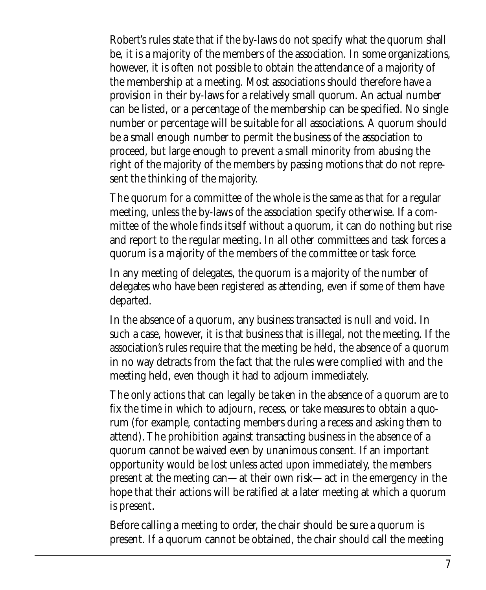Robert's rules state that if the by-laws do not specify what the quorum shall be, it is a majority of the members of the association. In some organizations, however, it is often not possible to obtain the attendance of a majority of the membership at a meeting. Most associations should therefore have a provision in their by-laws for a relatively small quorum. An actual number can be listed, or a percentage of the membership can be specified. No single number or percentage will be suitable for all associations. A quorum should be a small enough number to permit the business of the association to proceed, but large enough to prevent a small minority from abusing the right of the majority of the members by passing motions that do not represent the thinking of the majority.

The quorum for a committee of the whole is the same as that for a regular meeting, unless the by-laws of the association specify otherwise. If a committee of the whole finds itself without a quorum, it can do nothing but rise and report to the regular meeting. In all other committees and task forces a quorum is a majority of the members of the committee or task force.

In any meeting of delegates, the quorum is a majority of the number of delegates who have been registered as attending, even if some of them have departed.

In the absence of a quorum, any business transacted is null and void. In such a case, however, it is that business that is illegal, not the meeting. If the association's rules require that the meeting be held, the absence of a quorum in no way detracts from the fact that the rules were complied with and the meeting held, even though it had to adjourn immediately.

The only actions that can legally be taken in the absence of a quorum are to fix the time in which to adjourn, recess, or take measures to obtain a quorum (for example, contacting members during a recess and asking them to attend). The prohibition against transacting business in the absence of a quorum cannot be waived even by unanimous consent. If an important opportunity would be lost unless acted upon immediately, the members present at the meeting can—at their own risk—act in the emergency in the hope that their actions will be ratified at a later meeting at which a quorum is present.

Before calling a meeting to order, the chair should be sure a quorum is present. If a quorum cannot be obtained, the chair should call the meeting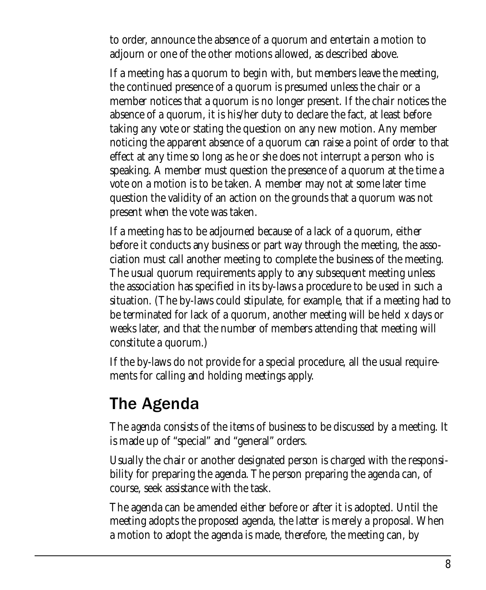to order, announce the absence of a quorum and entertain a motion to adjourn or one of the other motions allowed, as described above.

If a meeting has a quorum to begin with, but members leave the meeting, the continued presence of a quorum is presumed unless the chair or a member notices that a quorum is no longer present. If the chair notices the absence of a quorum, it is his/her duty to declare the fact, at least before taking any vote or stating the question on any new motion. Any member noticing the apparent absence of a quorum can raise a point of order to that effect at any time so long as he or she does not interrupt a person who is speaking. A member must question the presence of a quorum at the time a vote on a motion is to be taken. A member may not at some later time question the validity of an action on the grounds that a quorum was not present when the vote was taken.

If a meeting has to be adjourned because of a lack of a quorum, either before it conducts any business or part way through the meeting, the association must call another meeting to complete the business of the meeting. The usual quorum requirements apply to any subsequent meeting unless the association has specified in its by-laws a procedure to be used in such a situation. (The by-laws could stipulate, for example, that if a meeting had to be terminated for lack of a quorum, another meeting will be held *x* days or weeks later, and that the number of members attending that meeting will constitute a quorum.)

If the by-laws do not provide for a special procedure, all the usual requirements for calling and holding meetings apply.

#### The Agenda

The *agenda* consists of the items of business to be discussed by a meeting. It is made up of "special" and "general" orders.

Usually the chair or another designated person is charged with the responsibility for preparing the agenda. The person preparing the agenda can, of course, seek assistance with the task.

The agenda can be amended either before or after it is adopted. Until the meeting adopts the proposed agenda, the latter is merely a proposal. When a motion to adopt the agenda is made, therefore, the meeting can, by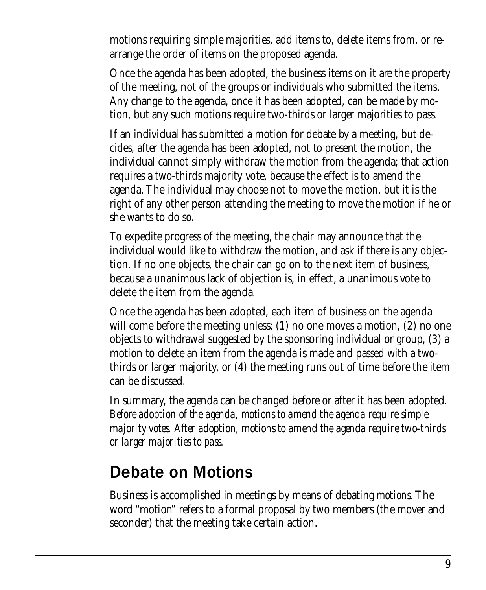motions requiring simple majorities, add items to, delete items from, or rearrange the order of items on the proposed agenda.

Once the agenda has been adopted, the business items on it are the property of the meeting, not of the groups or individuals who submitted the items. Any change to the agenda, once it has been adopted, can be made by motion, but any such motions require two-thirds or larger majorities to pass.

If an individual has submitted a motion for debate by a meeting, but decides, after the agenda has been adopted, not to present the motion, the individual cannot simply withdraw the motion from the agenda; that action requires a two-thirds majority vote, because the effect is to amend the agenda. The individual may choose not to move the motion, but it is the right of any other person attending the meeting to move the motion if he or she wants to do so.

To expedite progress of the meeting, the chair may announce that the individual would like to withdraw the motion, and ask if there is any objection. If no one objects, the chair can go on to the next item of business, because a unanimous lack of objection is, in effect, a unanimous vote to delete the item from the agenda.

Once the agenda has been adopted, each item of business on the agenda will come before the meeting unless: (1) no one moves a motion, (2) no one objects to withdrawal suggested by the sponsoring individual or group, (3) a motion to delete an item from the agenda is made and passed with a twothirds or larger majority, or (4) the meeting runs out of time before the item can be discussed.

In summary, the agenda can be changed before or after it has been adopted. *Before adoption of the agenda, motions to amend the agenda require simple majority votes. After adoption, motions to amend the agenda require two-thirds or larger majorities to pass.*

#### Debate on Motions

Business is accomplished in meetings by means of debating *motions*. The word "motion" refers to a formal proposal by two members (the mover and seconder) that the meeting take certain action.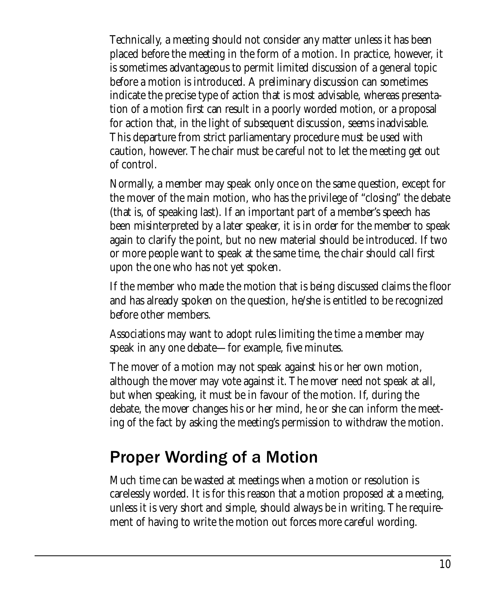Technically, a meeting should not consider any matter unless it has been placed before the meeting in the form of a motion. In practice, however, it is sometimes advantageous to permit limited discussion of a general topic before a motion is introduced. A preliminary discussion can sometimes indicate the precise type of action that is most advisable, whereas presentation of a motion first can result in a poorly worded motion, or a proposal for action that, in the light of subsequent discussion, seems inadvisable. This departure from strict parliamentary procedure must be used with caution, however. The chair must be careful not to let the meeting get out of control.

Normally, a member may speak only once on the same question, except for the mover of the main motion, who has the privilege of "closing" the debate (that is, of speaking last). If an important part of a member's speech has been misinterpreted by a later speaker, it is in order for the member to speak again to clarify the point, but no new material should be introduced. If two or more people want to speak at the same time, the chair should call first upon the one who has not yet spoken.

If the member who made the motion that is being discussed claims the floor and has already spoken on the question, he/she is entitled to be recognized before other members.

Associations may want to adopt rules limiting the time a member may speak in any one debate—for example, five minutes.

The mover of a motion may not speak against his or her own motion, although the mover may vote against it. The mover need not speak at all, but when speaking, it must be in favour of the motion. If, during the debate, the mover changes his or her mind, he or she can inform the meeting of the fact by asking the meeting's permission to withdraw the motion.

#### Proper Wording of a Motion

Much time can be wasted at meetings when a motion or resolution is carelessly worded. It is for this reason that a motion proposed at a meeting, unless it is very short and simple, should always be in writing. The requirement of having to write the motion out forces more careful wording.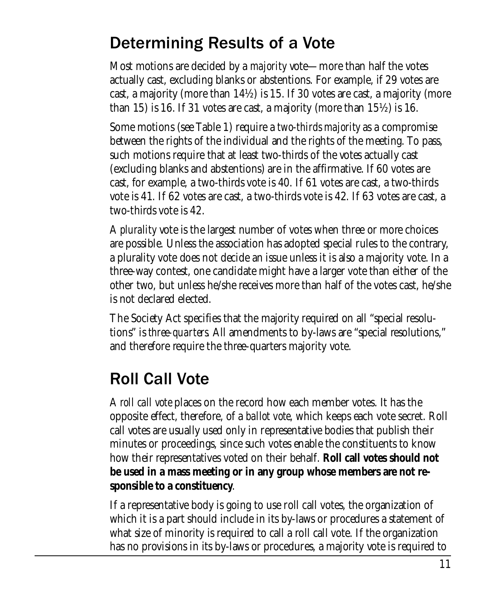#### Determining Results of a Vote

Most motions are decided by a *majority* vote—more than half the votes actually cast, excluding blanks or abstentions. For example, if 29 votes are cast, a majority (more than 14½) is 15. If 30 votes are cast, a majority (more than 15) is 16. If 31 votes are cast, a majority (more than  $15\frac{1}{2}$ ) is 16.

Some motions (see Table 1) require a *two-thirds majority* as a compromise between the rights of the individual and the rights of the meeting. To pass, such motions require that at least two-thirds of the votes actually cast (excluding blanks and abstentions) are in the affirmative. If 60 votes are cast, for example, a two-thirds vote is 40. If 61 votes are cast, a two-thirds vote is 41. If 62 votes are cast, a two-thirds vote is 42. If 63 votes are cast, a two-thirds vote is 42.

A *plurality* vote is the largest number of votes when three or more choices are possible. Unless the association has adopted special rules to the contrary, a plurality vote does not decide an issue unless it is also a majority vote. In a three-way contest, one candidate might have a larger vote than either of the other two, but unless he/she receives more than half of the votes cast, he/she is not declared elected.

The Society Act specifies that the majority required on all "special resolutions" is *three-quarters*. All amendments to by-laws are "special resolutions," and therefore require the three-quarters majority vote.

# Roll Call Vote

A *roll call vote* places on the record how each member votes. It has the opposite effect, therefore, of a *ballot vote*, which keeps each vote secret. Roll call votes are usually used only in representative bodies that publish their minutes or proceedings, since such votes enable the constituents to know how their representatives voted on their behalf. **Roll call votes should not be used in a mass meeting or in any group whose members are not responsible to a constituency**.

If a representative body is going to use roll call votes, the organization of which it is a part should include in its by-laws or procedures a statement of what size of minority is required to call a roll call vote. If the organization has no provisions in its by-laws or procedures, a majority vote is required to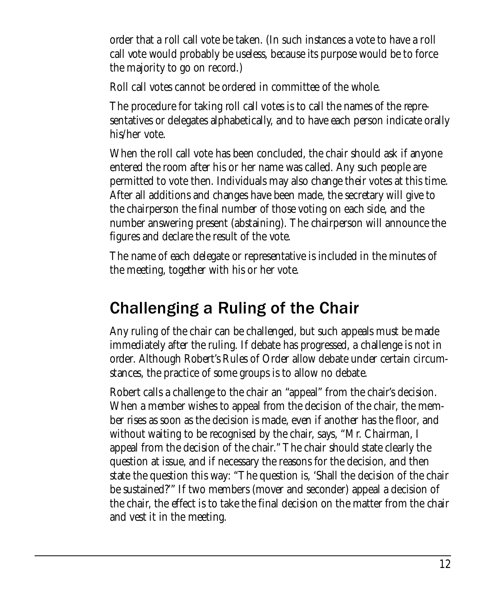order that a roll call vote be taken. (In such instances a vote to have a roll call vote would probably be useless, because its purpose would be to force the majority to go on record.)

Roll call votes cannot be ordered in committee of the whole.

The procedure for taking roll call votes is to call the names of the representatives or delegates alphabetically, and to have each person indicate orally his/her vote.

When the roll call vote has been concluded, the chair should ask if anyone entered the room after his or her name was called. Any such people are permitted to vote then. Individuals may also change their votes at this time. After all additions and changes have been made, the secretary will give to the chairperson the final number of those voting on each side, and the number answering present (abstaining). The chairperson will announce the figures and declare the result of the vote.

The name of each delegate or representative is included in the minutes of the meeting, together with his or her vote.

## Challenging a Ruling of the Chair

Any ruling of the chair can be challenged, but such appeals must be made immediately after the ruling. If debate has progressed, a challenge is not in order. Although Robert's Rules of Order allow debate under certain circumstances, the practice of some groups is to allow no debate.

Robert calls a challenge to the chair an "appeal" from the chair's decision. When a member wishes to appeal from the decision of the chair, the member rises as soon as the decision is made, even if another has the floor, and without waiting to be recognised by the chair, says, "Mr. Chairman, I appeal from the decision of the chair." The chair should state clearly the question at issue, and if necessary the reasons for the decision, and then state the question this way: "The question is, 'Shall the decision of the chair be sustained?'" If two members (mover and seconder) appeal a decision of the chair, the effect is to take the final decision on the matter from the chair and vest it in the meeting.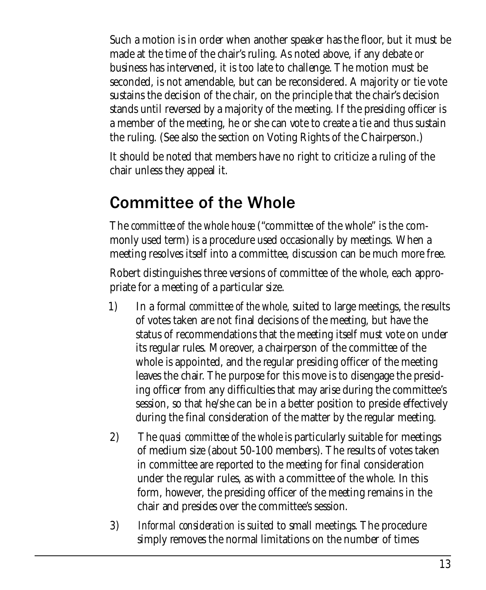Such a motion is in order when another speaker has the floor, but it must be made at the time of the chair's ruling. As noted above, if any debate or business has intervened, it is too late to challenge. The motion must be seconded, is not amendable, but can be reconsidered. A majority or tie vote sustains the decision of the chair, on the principle that the chair's decision stands until reversed by a majority of the meeting. If the presiding officer is a member of the meeting, he or she can vote to create a tie and thus sustain the ruling. (See also the section on Voting Rights of the Chairperson.)

It should be noted that members have no right to criticize a ruling of the chair unless they appeal it.

## Committee of the Whole

The *committee of the whole house* ("committee of the whole" is the commonly used term) is a procedure used occasionally by meetings. When a meeting resolves itself into a committee, discussion can be much more free.

Robert distinguishes three versions of committee of the whole, each appropriate for a meeting of a particular size.

- 1) In a formal *committee of the whole*, suited to large meetings, the results of votes taken are not final decisions of the meeting, but have the status of recommendations that the meeting itself must vote on under its regular rules. Moreover, a chairperson of the committee of the whole is appointed, and the regular presiding officer of the meeting leaves the chair. The purpose for this move is to disengage the presiding officer from any difficulties that may arise during the committee's session, so that he/she can be in a better position to preside effectively during the final consideration of the matter by the regular meeting.
- 2) The *quasi committee of the whole* is particularly suitable for meetings of medium size (about 50-100 members). The results of votes taken in committee are reported to the meeting for final consideration under the regular rules, as with a committee of the whole. In this form, however, the presiding officer of the meeting remains in the chair and presides over the committee's session.
- 3) *Informal consideration* is suited to small meetings. The procedure simply removes the normal limitations on the number of times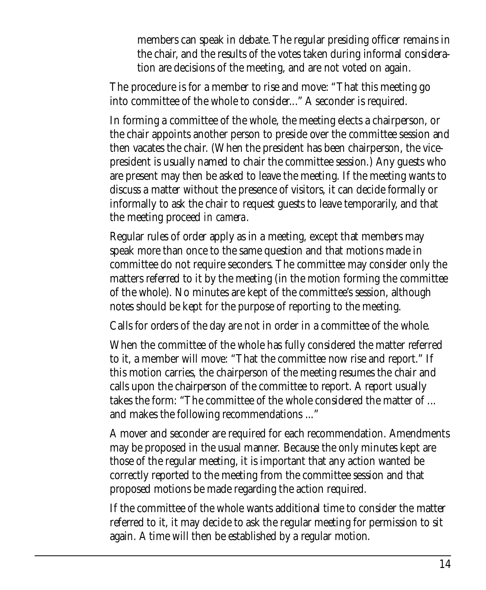members can speak in debate. The regular presiding officer remains in the chair, and the results of the votes taken during informal consideration are decisions of the meeting, and are not voted on again.

The procedure is for a member to rise and move: "That this meeting go into committee of the whole to consider..." A seconder is required.

In forming a committee of the whole, the meeting elects a chairperson, or the chair appoints another person to preside over the committee session and then vacates the chair. (When the president has been chairperson, the vicepresident is usually named to chair the committee session.) Any guests who are present may then be asked to leave the meeting. If the meeting wants to discuss a matter without the presence of visitors, it can decide formally or informally to ask the chair to request guests to leave temporarily, and that the meeting proceed *in camera*.

Regular rules of order apply as in a meeting, except that members may speak more than once to the same question and that motions made in committee do not require seconders. The committee may consider only the matters referred to it by the meeting (in the motion forming the committee of the whole). No minutes are kept of the committee's session, although notes should be kept for the purpose of reporting to the meeting.

Calls for orders of the day are not in order in a committee of the whole.

When the committee of the whole has fully considered the matter referred to it, a member will move: "That the committee now rise and report." If this motion carries, the chairperson of the meeting resumes the chair and calls upon the chairperson of the committee to report. A report usually takes the form: "The committee of the whole considered the matter of ... and makes the following recommendations ..."

A mover and seconder are required for each recommendation. Amendments may be proposed in the usual manner. Because the only minutes kept are those of the regular meeting, it is important that any action wanted be correctly reported to the meeting from the committee session and that proposed motions be made regarding the action required.

If the committee of the whole wants additional time to consider the matter referred to it, it may decide to ask the regular meeting for permission to sit again. A time will then be established by a regular motion.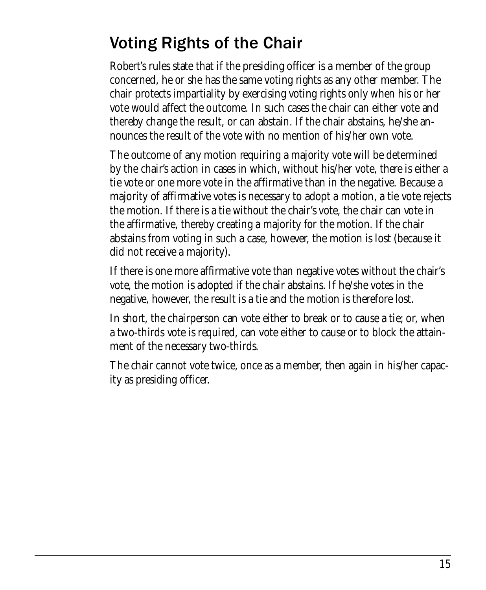# Voting Rights of the Chair

Robert's rules state that if the presiding officer is a member of the group concerned, he or she has the same voting rights as any other member. The chair protects impartiality by exercising voting rights only when his or her vote would affect the outcome. In such cases the chair can either vote and thereby change the result, or can abstain. If the chair abstains, he/she announces the result of the vote with no mention of his/her own vote.

The outcome of any motion requiring a majority vote will be determined by the chair's action in cases in which, without his/her vote, there is either a tie vote or one more vote in the affirmative than in the negative. Because a majority of affirmative votes is necessary to adopt a motion, a tie vote rejects the motion. If there is a tie without the chair's vote, the chair can vote in the affirmative, thereby creating a majority for the motion. If the chair abstains from voting in such a case, however, the motion is lost (because it did not receive a majority).

If there is one more affirmative vote than negative votes without the chair's vote, the motion is adopted if the chair abstains. If he/she votes in the negative, however, the result is a tie and the motion is therefore lost.

In short, the chairperson can vote either to break or to cause a tie; or, when a two-thirds vote is required, can vote either to cause or to block the attainment of the necessary two-thirds.

The chair cannot vote twice, once as a member, then again in his/her capacity as presiding officer.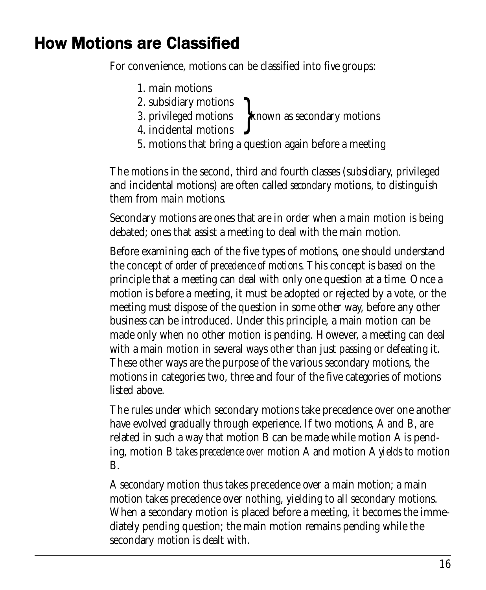## **How Motions are Classified**

For convenience, motions can be classified into five groups:

- 1. main motions
- 2. subsidiary motions
- 3. privileged motions > known as secondary motions
- 4. incidental motions
- 5. motions that bring a question again before a meeting

The motions in the second, third and fourth classes (subsidiary, privileged and incidental motions) are often called *secondary* motions, to distinguish them from *main* motions.

Secondary motions are ones that are in order when a main motion is being debated; ones that assist a meeting to deal with the main motion.

Before examining each of the five types of motions, one should understand the concept *of order of precedence of motions.* This concept is based on the principle that a meeting can deal with only one question at a time. Once a motion is before a meeting, it must be adopted or rejected by a vote, or the meeting must dispose of the question in some other way, before any other business can be introduced. Under this principle, a main motion can be made only when no other motion is pending. However, a meeting can deal with a main motion in several ways other than just passing or defeating it. These other ways are the purpose of the various secondary motions, the motions in categories two, three and four of the five categories of motions listed above.

The rules under which secondary motions take precedence over one another have evolved gradually through experience. If two motions, A and B, are related in such a way that motion B can be made while motion A is pending, motion B *takes precedence over* motion A and motion A *yields* to motion B.

A secondary motion thus takes precedence over a main motion; a main motion takes precedence over nothing, yielding to all secondary motions. When a secondary motion is placed before a meeting, it becomes the immediately pending question; the main motion remains pending while the secondary motion is dealt with.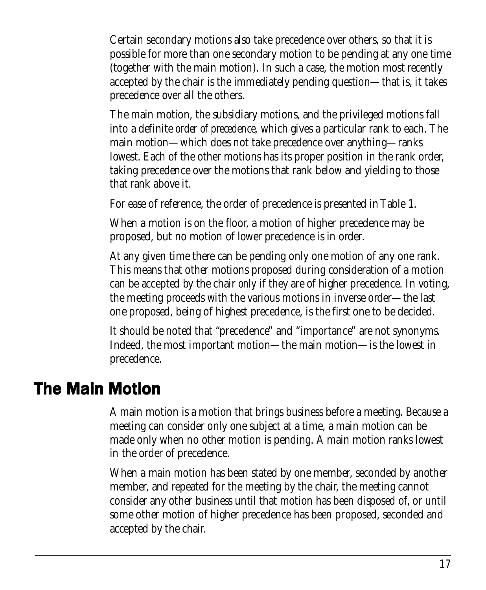Certain secondary motions also take precedence over others, so that it is possible for more than one secondary motion to be pending at any one time (together with the main motion). In such a case, the motion most recently accepted by the chair is the immediately pending question—that is, it takes precedence over all the others.

The main motion, the subsidiary motions, and the privileged motions fall into a definite *order of precedence,* which gives a particular rank to each. The main motion—which does not take precedence over anything—ranks lowest. Each of the other motions has its proper position in the rank order, taking precedence over the motions that rank below and yielding to those that rank above it.

For ease of reference, the order of precedence is presented in Table 1.

When a motion is on the floor, a motion of higher precedence may be proposed, but no motion of lower precedence is in order.

At any given time there can be pending only one motion of any one rank. This means that other motions proposed during consideration of a motion can be accepted by the chair *only* if they are of higher precedence. In voting, the meeting proceeds with the various motions in inverse order—the last one proposed, being of highest precedence, is the first one to be decided.

It should be noted that "precedence" and "importance" are not synonyms. Indeed, the most important motion—the main motion—is the lowest in precedence.

#### **The Main Motion**

A main motion is a motion that brings business before a meeting. Because a meeting can consider only one subject at a time, a main motion can be made only when no other motion is pending. A main motion ranks lowest in the order of precedence.

When a main motion has been stated by one member, seconded by another member, and repeated for the meeting by the chair, the meeting cannot consider any other business until that motion has been disposed of, or until some other motion of higher precedence has been proposed, seconded and accepted by the chair.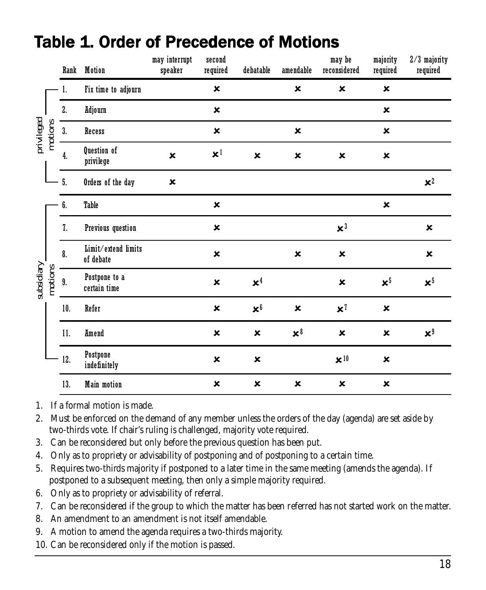|            |         | Rank               | Motion                           | may interrupt<br>speaker | second<br>required        | debatable                 | amendable                    | may be<br>reconsidered | majority<br>required | $2/3$ majority<br>required |
|------------|---------|--------------------|----------------------------------|--------------------------|---------------------------|---------------------------|------------------------------|------------------------|----------------------|----------------------------|
| privileged | motions | 1.                 | Fix time to adjourn              |                          | $\pmb{\times}$            |                           | $\pmb{\times}$               | $\pmb{\times}$         | $\pmb{\times}$       |                            |
|            |         | 2.                 | Adjourn                          |                          | $\pmb{\times}$            |                           |                              |                        | $\pmb{\times}$       |                            |
|            |         | 3.                 | Recess                           |                          | $\pmb{\times}$            |                           | $\pmb{\times}$               |                        | $\pmb{\times}$       |                            |
|            |         | 4.                 | Question of<br>privilege         | $\mathbf x$              | $\mathbf{x}^1$            | $\pmb{\times}$            | ×                            | ×                      | $\pmb{\times}$       |                            |
|            |         | 5.                 | Orders of the day                | $\pmb{\times}$           |                           |                           |                              |                        |                      | $x^2$                      |
| subsidiary |         | 6.                 | Table                            |                          | $\pmb{\times}$            |                           |                              |                        | $\pmb{\times}$       |                            |
|            |         | 7.                 | Previous question                |                          | ×                         |                           |                              | $\mathbf{x}^3$         |                      | $\pmb{\times}$             |
|            | motions | $\boldsymbol{8}$ . | Limit/extend limits<br>of debate |                          | $\pmb{\times}$            |                           | ×                            | ×                      |                      | ×                          |
|            |         | 9.                 | Postpone to a<br>certain time    |                          | ×                         | $x^4$                     |                              | ×                      | $\mathbf{x}^5$       | $x^5$                      |
|            |         | 10.                | Refer                            |                          | $\pmb{\times}$            | $\mathbf{x}^6$            | $\pmb{\times}$               | $\mathbf{x}^7$         | $\pmb{\times}$       |                            |
|            |         | 11.                | Amend                            |                          | ×                         | $\pmb{\times}$            | $\mathbf{x}^{\mathbf{\ell}}$ | $\pmb{\times}$         | ×                    | $\mathbf{x}^{\mathbf{0}}$  |
|            |         | 12.                | Postpone<br>indefinitely         |                          | $\boldsymbol{\mathsf{x}}$ | $\pmb{\times}$            |                              | $\times$ <sup>10</sup> | $\pmb{\times}$       |                            |
|            |         | 13.                | <b>Main motion</b>               |                          | ×                         | $\boldsymbol{\mathsf{x}}$ | $\pmb{\times}$               | $\pmb{\times}$         | $\pmb{\times}$       |                            |

#### Table 1. Order of Precedence of Motions

1. If a formal motion is made.

2. Must be enforced on the demand of any member unless the orders of the day (agenda) are set aside by two-thirds vote. If chair's ruling is challenged, majority vote required.

- 3. Can be reconsidered but only before the previous question has been put.
- 4. Only as to propriety or advisability of postponing and of postponing to a certain time.
- 5. Requires two-thirds majority if postponed to a later time in the same meeting (amends the agenda). If postponed to a subsequent meeting, then only a simple majority required.
- 6. Only as to propriety or advisability of referral.
- 7. Can be reconsidered if the group to which the matter has been referred has not started work on the matter.
- 8. An amendment to an amendment is not itself amendable.
- 9. A motion to amend the agenda requires a two-thirds majority.
- 10. Can be reconsidered only if the motion is passed.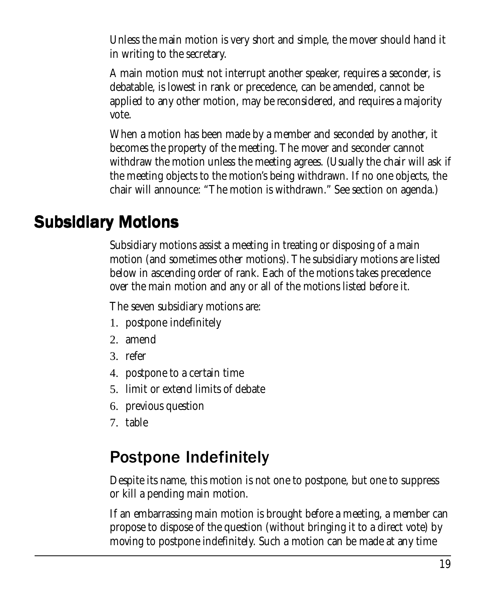Unless the main motion is very short and simple, the mover should hand it in writing to the secretary.

A main motion must not interrupt another speaker, requires a seconder, is debatable, is lowest in rank or precedence, can be amended, cannot be applied to any other motion, may be reconsidered, and requires a majority vote.

When a motion has been made by a member and seconded by another, it becomes the property of the meeting. The mover and seconder cannot withdraw the motion unless the meeting agrees. (Usually the chair will ask if the meeting objects to the motion's being withdrawn. If no one objects, the chair will announce: "The motion is withdrawn." See section on agenda.)

#### **Subsidiary Motions**

Subsidiary motions assist a meeting in treating or disposing of a main motion (and sometimes other motions). The subsidiary motions are listed below in ascending order of rank. Each of the motions takes precedence over the main motion and any or all of the motions listed before it.

The seven subsidiary motions are:

- 1. postpone indefinitely
- 2. amend
- 3. refer
- 4. postpone to a certain time
- 5. limit or extend limits of debate
- 6. previous question
- 7. table

# Postpone Indefinitely

Despite its name, this motion is not one to postpone, but one to suppress or kill a pending main motion.

If an embarrassing main motion is brought before a meeting, a member can propose to dispose of the question (without bringing it to a direct vote) by moving to postpone indefinitely. Such a motion can be made at any time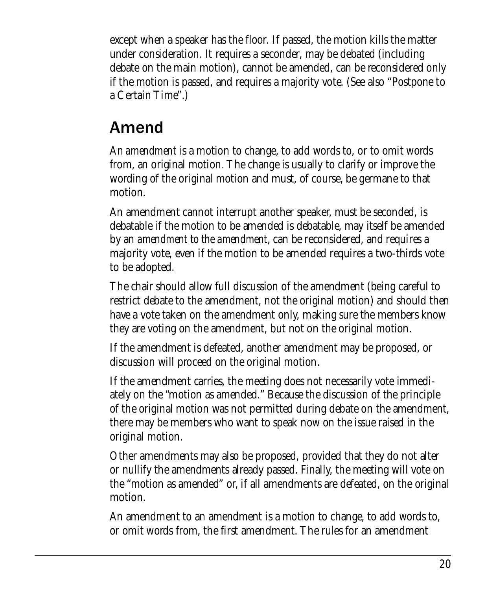except when a speaker has the floor. If passed, the motion kills the matter under consideration. It requires a seconder, may be debated (including debate on the main motion), cannot be amended, can be reconsidered only if the motion is passed, and requires a majority vote. (See also "Postpone to a Certain Time".)

#### Amend

An *amendment* is a motion to change, to add words to, or to omit words from, an original motion. The change is usually to clarify or improve the wording of the original motion and must, of course, be germane to that motion.

An amendment cannot interrupt another speaker, must be seconded, is debatable if the motion to be amended is debatable, may itself be amended by an *amendment to the amendment,* can be reconsidered, and requires a majority vote, even if the motion to be amended requires a two-thirds vote to be adopted.

The chair should allow full discussion of the amendment (being careful to restrict debate to the amendment, not the original motion) and should then have a vote taken on the amendment only, making sure the members know they are voting on the amendment, but not on the original motion.

If the amendment is defeated, another amendment may be proposed, or discussion will proceed on the original motion.

If the amendment carries, the meeting does not necessarily vote immediately on the "motion as amended." Because the discussion of the principle of the original motion was not permitted during debate on the amendment, there may be members who want to speak now on the issue raised in the original motion.

Other amendments may also be proposed, provided that they do not alter or nullify the amendments already passed. Finally, the meeting will vote on the "motion as amended" or, if all amendments are defeated, on the original motion.

An amendment to an amendment is a motion to change, to add words to, or omit words from, the first amendment. The rules for an amendment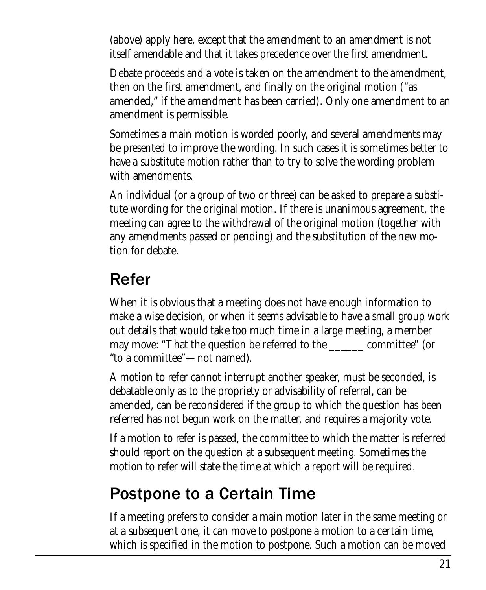(above) apply here, except that the amendment to an amendment is not itself amendable and that it takes precedence over the first amendment.

Debate proceeds and a vote is taken on the amendment to the amendment, then on the first amendment, and finally on the original motion ("as amended," if the amendment has been carried). Only one amendment to an amendment is permissible.

Sometimes a main motion is worded poorly, and several amendments may be presented to improve the wording. In such cases it is sometimes better to have a substitute motion rather than to try to solve the wording problem with amendments.

An individual (or a group of two or three) can be asked to prepare a substitute wording for the original motion. If there is unanimous agreement, the meeting can agree to the withdrawal of the original motion (together with any amendments passed or pending) and the substitution of the new motion for debate.

#### Refer

When it is obvious that a meeting does not have enough information to make a wise decision, or when it seems advisable to have a small group work out details that would take too much time in a large meeting, a member may move: "That the question be referred to the \_\_\_\_\_\_ committee" (or "to a committee"—not named).

A motion to refer cannot interrupt another speaker, must be seconded, is debatable only as to the propriety or advisability of referral, can be amended, can be reconsidered if the group to which the question has been referred has not begun work on the matter, and requires a majority vote.

If a motion to refer is passed, the committee to which the matter is referred should report on the question at a subsequent meeting. Sometimes the motion to refer will state the time at which a report will be required.

#### Postpone to a Certain Time

If a meeting prefers to consider a main motion later in the same meeting or at a subsequent one, it can move to postpone a motion to a certain time, which is specified in the motion to postpone. Such a motion can be moved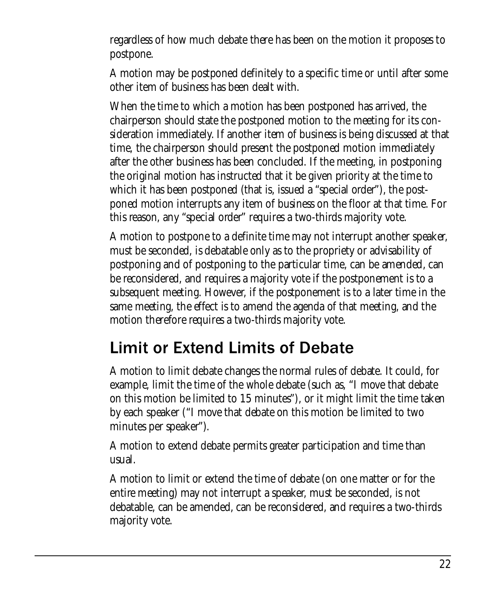regardless of how much debate there has been on the motion it proposes to postpone.

A motion may be postponed definitely to a specific time or until after some other item of business has been dealt with.

When the time to which a motion has been postponed has arrived, the chairperson should state the postponed motion to the meeting for its consideration immediately. If another item of business is being discussed at that time, the chairperson should present the postponed motion immediately after the other business has been concluded. If the meeting, in postponing the original motion has instructed that it be given priority at the time to which it has been postponed (that is, issued a "special order"), the postponed motion interrupts any item of business on the floor at that time. For this reason, any "special order" requires a two-thirds majority vote.

A motion to postpone to a definite time may not interrupt another speaker, must be seconded, is debatable only as to the propriety or advisability of postponing and of postponing to the particular time, can be amended, can be reconsidered, and requires a majority vote if the postponement is to a subsequent meeting. However, if the postponement is to a later time in the same meeting, the effect is to amend the agenda of that meeting, and the motion therefore requires a two-thirds majority vote.

#### Limit or Extend Limits of Debate

A motion to limit debate changes the normal rules of debate. It could, for example, limit the time of the whole debate (such as, "I move that debate on this motion be limited to 15 minutes"), or it might limit the time taken by each speaker ("I move that debate on this motion be limited to two minutes per speaker").

A motion to extend debate permits greater participation and time than usual.

A motion to limit or extend the time of debate (on one matter or for the entire meeting) may not interrupt a speaker, must be seconded, is not debatable, can be amended, can be reconsidered, and requires a two-thirds majority vote.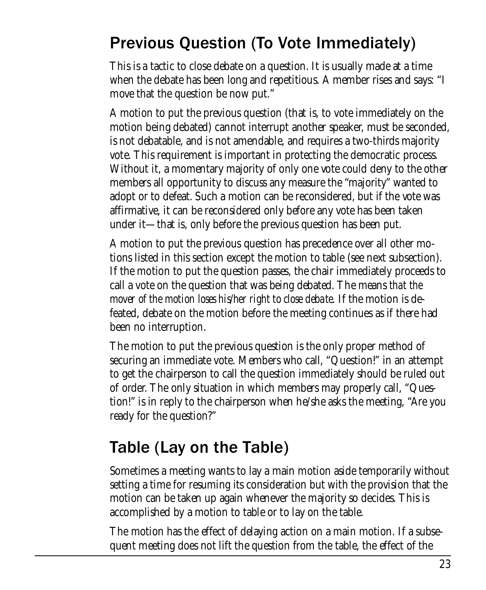# Previous Question (To Vote Immediately)

This is a tactic to close debate on a question. It is usually made at a time when the debate has been long and repetitious. A member rises and says: "I move that the question be now put."

A motion to put the previous question (that is, to vote immediately on the motion being debated) cannot interrupt another speaker, must be seconded, is not debatable, and is not amendable, and requires a two-thirds majority vote. This requirement is important in protecting the democratic process. Without it, a momentary majority of only one vote could deny to the other members all opportunity to discuss any measure the "majority" wanted to adopt or to defeat. Such a motion can be reconsidered, but if the vote was affirmative, it can be reconsidered only before any vote has been taken under it—that is, only before the previous question has been put.

A motion to put the previous question has precedence over all other motions listed in this section except the motion to table (see next subsection). If the motion to put the question passes, the chair immediately proceeds to call a vote on the question that was being debated. The means *that the mover of the motion loses his/her right to close debate.* If the motion is defeated, debate on the motion before the meeting continues as if there had been no interruption.

The motion to put the previous question is the only proper method of securing an immediate vote. Members who call, "Question!" in an attempt to get the chairperson to call the question immediately should be ruled out of order. The only situation in which members may properly call, "Question!" is in reply to the chairperson when he/she asks the meeting, "Are you ready for the question?"

# Table (Lay on the Table)

Sometimes a meeting wants to lay a main motion aside temporarily without setting a time for resuming its consideration but with the provision that the motion can be taken up again whenever the majority so decides. This is accomplished by a motion to table or to lay on the table.

The motion has the effect of delaying action on a main motion. If a subsequent meeting does not lift the question from the table, the effect of the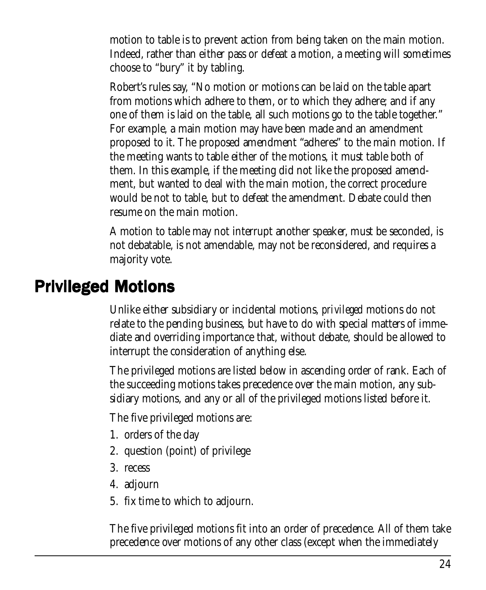motion to table is to prevent action from being taken on the main motion. Indeed, rather than either pass or defeat a motion, a meeting will sometimes choose to "bury" it by tabling.

Robert's rules say, "No motion or motions can be laid on the table apart from motions which adhere to them, or to which they adhere; and if any one of them is laid on the table, all such motions go to the table together." For example, a main motion may have been made and an amendment proposed to it. The proposed amendment "adheres" to the main motion. If the meeting wants to table either of the motions, it must table both of them. In this example, if the meeting did not like the proposed amendment, but wanted to deal with the main motion, the correct procedure would be not to table, but to defeat the amendment. Debate could then resume on the main motion.

A motion to table may not interrupt another speaker, must be seconded, is not debatable, is not amendable, may not be reconsidered, and requires a majority vote.

#### **Privileged Motions**

Unlike either subsidiary or incidental motions, *privileged* motions do not relate to the pending business, but have to do with special matters of immediate and overriding importance that, without debate, should be allowed to interrupt the consideration of anything else.

The privileged motions are listed below in ascending order of rank. Each of the succeeding motions takes precedence over the main motion, any subsidiary motions, and any or all of the privileged motions listed before it.

The five privileged motions are:

- 1. orders of the day
- 2. question (point) of privilege
- 3. recess
- 4. adjourn
- 5. fix time to which to adjourn.

The five privileged motions fit into an order of precedence. All of them take precedence over motions of any other class (except when the immediately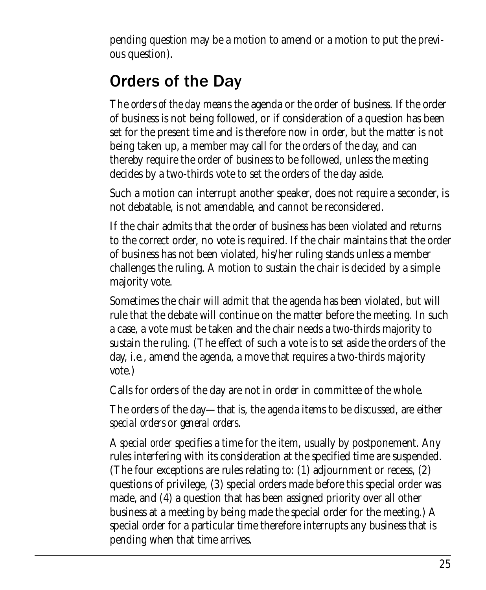pending question may be a motion to amend or a motion to put the previous question).

# Orders of the Day

The *orders of the day* means the agenda or the order of business. If the order of business is not being followed, or if consideration of a question has been set for the present time and is therefore now in order, but the matter is not being taken up, a member may call for the orders of the day, and can thereby require the order of business to be followed, unless the meeting decides by a two-thirds vote to set the orders of the day aside.

Such a motion can interrupt another speaker, does not require a seconder, is not debatable, is not amendable, and cannot be reconsidered.

If the chair admits that the order of business has been violated and returns to the correct order, no vote is required. If the chair maintains that the order of business has not been violated, his/her ruling stands unless a member challenges the ruling. A motion to sustain the chair is decided by a simple majority vote.

Sometimes the chair will admit that the agenda has been violated, but will rule that the debate will continue on the matter before the meeting. In such a case, a vote must be taken and the chair needs a two-thirds majority to sustain the ruling. (The effect of such a vote is to set aside the orders of the day, i.e., amend the agenda, a move that requires a two-thirds majority vote.)

Calls for orders of the day are not in order in committee of the whole.

The orders of the day—that is, the agenda items to be discussed, are either *special orders* or *general orders*.

A *special order* specifies a time for the item, usually by postponement. Any rules interfering with its consideration at the specified time are suspended. (The four exceptions are rules relating to: (1) adjournment or recess, (2) questions of privilege, (3) special orders made before this special order was made, and (4) a question that has been assigned priority over all other business at a meeting by being made *the* special order for the meeting.) A special order for a particular time therefore interrupts any business that is pending when that time arrives.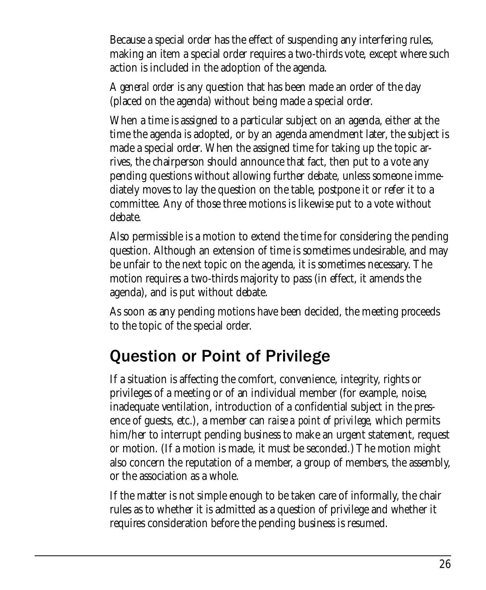Because a special order has the effect of suspending any interfering rules, making an item a special order requires a two-thirds vote, except where such action is included in the adoption of the agenda.

A *general order* is any question that has been made an order of the day (placed on the agenda) without being made a special order.

When a time is assigned to a particular subject on an agenda, either at the time the agenda is adopted, or by an agenda amendment later, the subject is made a special order. When the assigned time for taking up the topic arrives, the chairperson should announce that fact, then put to a vote any pending questions without allowing further debate, unless someone immediately moves to lay the question on the table, postpone it or refer it to a committee. Any of those three motions is likewise put to a vote without debate.

Also permissible is a motion to extend the time for considering the pending question. Although an extension of time is sometimes undesirable, and may be unfair to the next topic on the agenda, it is sometimes necessary. The motion requires a two-thirds majority to pass (in effect, it amends the agenda), and is put without debate.

As soon as any pending motions have been decided, the meeting proceeds to the topic of the special order.

#### Question or Point of Privilege

If a situation is affecting the comfort, convenience, integrity, rights or privileges of a meeting or of an individual member (for example, noise, inadequate ventilation, introduction of a confidential subject in the presence of guests, etc.), a member can *raise a point of privilege,* which permits him/her to interrupt pending business to make an urgent statement, request or motion. (If a motion is made, it must be seconded.) The motion might also concern the reputation of a member, a group of members, the assembly, or the association as a whole.

If the matter is not simple enough to be taken care of informally, the chair rules as to whether it is admitted as a question of privilege and whether it requires consideration before the pending business is resumed.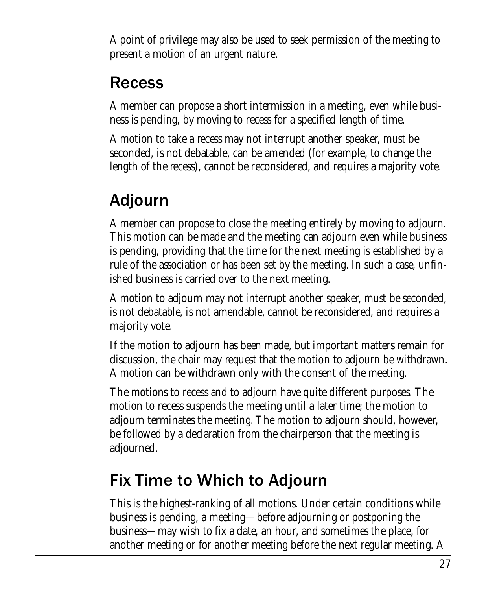A point of privilege may also be used to seek permission of the meeting to present a motion of an urgent nature.

# Recess

A member can propose a short intermission in a meeting, even while business is pending, by moving to recess for a specified length of time.

A motion to take a recess may not interrupt another speaker, must be seconded, is not debatable, can be amended (for example, to change the length of the recess), cannot be reconsidered, and requires a majority vote.

# Adjourn

A member can propose to close the meeting entirely by moving to adjourn. This motion can be made and the meeting can adjourn even while business is pending, providing that the time for the next meeting is established by a rule of the association or has been set by the meeting. In such a case, unfinished business is carried over to the next meeting.

A motion to adjourn may not interrupt another speaker, must be seconded, is not debatable, is not amendable, cannot be reconsidered, and requires a majority vote.

If the motion to adjourn has been made, but important matters remain for discussion, the chair may request that the motion to adjourn be withdrawn. A motion can be withdrawn only with the consent of the meeting.

The motions to recess and to adjourn have quite different purposes. The motion to recess suspends the meeting until a later time; the motion to adjourn terminates the meeting. The motion to adjourn should, however, be followed by a declaration from the chairperson that the meeting is adjourned.

# Fix Time to Which to Adjourn

This is the highest-ranking of all motions. Under certain conditions while business is pending, a meeting—before adjourning or postponing the business—may wish to fix a date, an hour, and sometimes the place, for another meeting or for another meeting before the next regular meeting. A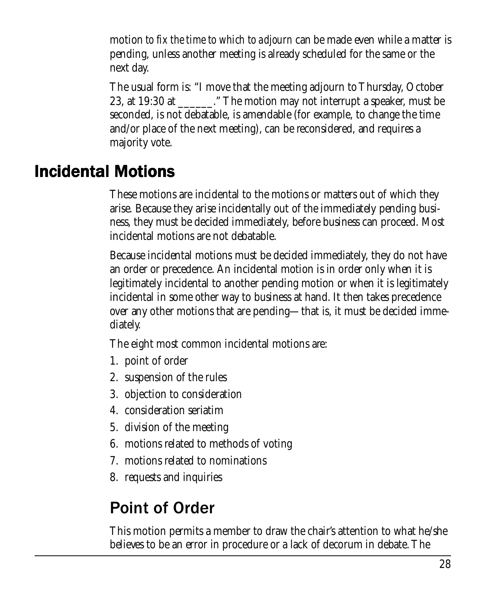motion *to fix the time to which to adjourn* can be made even while a matter is pending, unless another meeting is already scheduled for the same or the next day.

The usual form is: "I move that the meeting adjourn to Thursday, October 23, at 19:30 at  $\qquad \qquad$ ." The motion may not interrupt a speaker, must be seconded, is not debatable, is amendable (for example, to change the time and/or place of the next meeting), can be reconsidered, and requires a majority vote.

#### **Incidental Motions**

These motions are incidental to the motions or matters out of which they arise. Because they arise incidentally out of the immediately pending business, they must be decided immediately, before business can proceed. Most incidental motions are not debatable.

Because incidental motions must be decided immediately, they do not have an order or precedence. An incidental motion is in order only when it is legitimately incidental to another pending motion or when it is legitimately incidental in some other way to business at hand. It then takes precedence over any other motions that are pending—that is, it must be decided immediately.

The eight most common incidental motions are:

- 1. point of order
- 2. suspension of the rules
- 3. objection to consideration
- 4. consideration seriatim
- 5. division of the meeting
- 6. motions related to methods of voting
- 7. motions related to nominations
- 8. requests and inquiries

# Point of Order

This motion permits a member to draw the chair's attention to what he/she believes to be an error in procedure or a lack of decorum in debate. The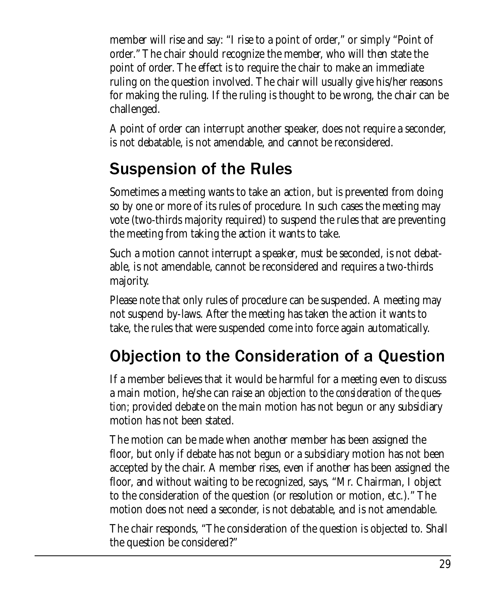member will rise and say: "I rise to a point of order," or simply "Point of order." The chair should recognize the member, who will then state the point of order. The effect is to require the chair to make an immediate ruling on the question involved. The chair will usually give his/her reasons for making the ruling. If the ruling is thought to be wrong, the chair can be challenged.

A point of order can interrupt another speaker, does not require a seconder, is not debatable, is not amendable, and cannot be reconsidered.

# Suspension of the Rules

Sometimes a meeting wants to take an action, but is prevented from doing so by one or more of its rules of procedure. In such cases the meeting may vote (two-thirds majority required) to suspend the rules that are preventing the meeting from taking the action it wants to take.

Such a motion cannot interrupt a speaker, must be seconded, is not debatable, is not amendable, cannot be reconsidered and requires a two-thirds majority.

Please note that only rules of procedure can be suspended. A meeting may not suspend by-laws. After the meeting has taken the action it wants to take, the rules that were suspended come into force again automatically.

# Objection to the Consideration of a Question

If a member believes that it would be harmful for a meeting even to discuss a main motion, he/she can raise an *objection to the consideration of the question;* provided debate on the main motion has not begun or any subsidiary motion has not been stated.

The motion can be made when another member has been assigned the floor, but only if debate has not begun or a subsidiary motion has not been accepted by the chair. A member rises, even if another has been assigned the floor, and without waiting to be recognized, says, "Mr. Chairman, I object to the consideration of the question (or resolution or motion, etc.)." The motion does not need a seconder, is not debatable, and is not amendable.

The chair responds, "The consideration of the question is objected to. Shall the question be considered?"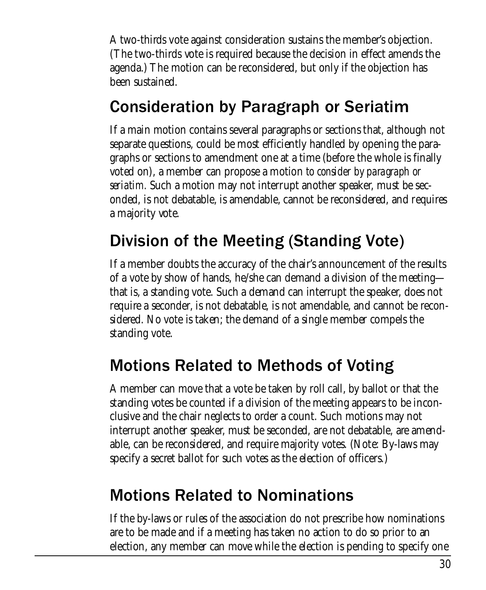A two-thirds vote against consideration sustains the member's objection. (The two-thirds vote is required because the decision in effect amends the agenda.) The motion can be reconsidered, but only if the objection has been sustained.

#### Consideration by Paragraph or Seriatim

If a main motion contains several paragraphs or sections that, although not separate questions, could be most efficiently handled by opening the paragraphs or sections to amendment one at a time (before the whole is finally voted on), a member can propose a motion *to consider by paragraph or seriatim.* Such a motion may not interrupt another speaker, must be seconded, is not debatable, is amendable, cannot be reconsidered, and requires a majority vote.

## Division of the Meeting (Standing Vote)

If a member doubts the accuracy of the chair's announcement of the results of a vote by show of hands, he/she can demand a division of the meeting that is, a standing vote. Such a demand can interrupt the speaker, does not require a seconder, is not debatable, is not amendable, and cannot be reconsidered. No vote is taken; the demand of a single member compels the standing vote.

## Motions Related to Methods of Voting

A member can move that a vote be taken by roll call, by ballot or that the standing votes be counted if a division of the meeting appears to be inconclusive and the chair neglects to order a count. Such motions may not interrupt another speaker, must be seconded, are not debatable, are amendable, can be reconsidered, and require majority votes. (Note: By-laws may specify a secret ballot for such votes as the election of officers.)

#### Motions Related to Nominations

If the by-laws or rules of the association do not prescribe how nominations are to be made and if a meeting has taken no action to do so prior to an election, any member can move while the election is pending to specify one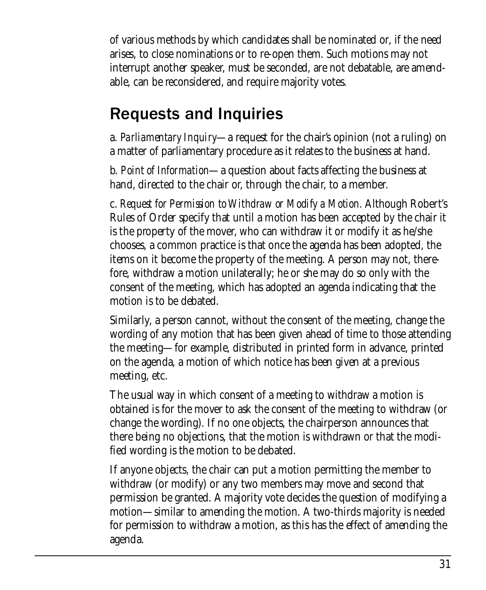of various methods by which candidates shall be nominated or, if the need arises, to close nominations or to re-open them. Such motions may not interrupt another speaker, must be seconded, are not debatable, are amendable, can be reconsidered, and require majority votes.

# Requests and Inquiries

a. *Parliamentary Inquiry*—a request for the chair's opinion (not a ruling) on a matter of parliamentary procedure as it relates to the business at hand.

b. *Point of Information*—a question about facts affecting the business at hand, directed to the chair or, through the chair, to a member.

c. *Request for Permission to Withdraw or Modify a Motion.* Although Robert's Rules of Order specify that until a motion has been accepted by the chair it is the property of the mover, who can withdraw it or modify it as he/she chooses, a common practice is that once the agenda has been adopted, the items on it become the property of the meeting. A person may not, therefore, withdraw a motion unilaterally; he or she may do so only with the consent of the meeting, which has adopted an agenda indicating that the motion is to be debated.

Similarly, a person cannot, without the consent of the meeting, change the wording of any motion that has been given ahead of time to those attending the meeting—for example, distributed in printed form in advance, printed on the agenda, a motion of which notice has been given at a previous meeting, etc.

The usual way in which consent of a meeting to withdraw a motion is obtained is for the mover to ask the consent of the meeting to withdraw (or change the wording). If no one objects, the chairperson announces that there being no objections, that the motion is withdrawn or that the modified wording is the motion to be debated.

If anyone objects, the chair can put a motion permitting the member to withdraw (or modify) or any two members may move and second that permission be granted. A majority vote decides the question of modifying a motion—similar to amending the motion. A two-thirds majority is needed for permission to withdraw a motion, as this has the effect of amending the agenda.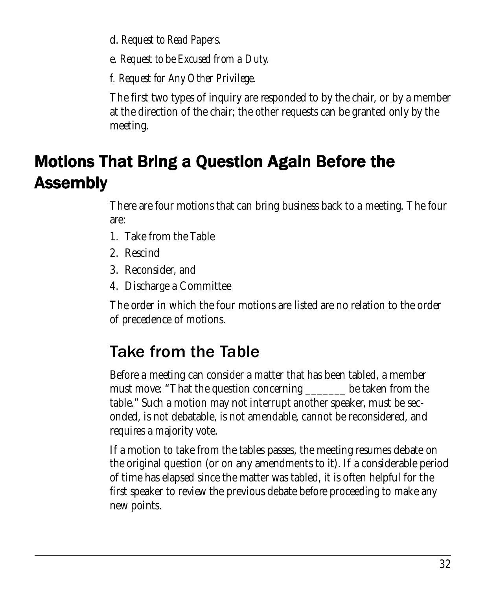d. *Request to Read Papers*.

e. *Request to be Excused from a Duty*.

f. *Request for Any Other Privilege*.

The first two types of inquiry are responded to by the chair, or by a member at the direction of the chair; the other requests can be granted only by the meeting.

# Motions That Bring a Question Again Before the Assembly Assembly

There are four motions that can bring business back to a meeting. The four are:

- 1. Take from the Table
- 2. Rescind
- 3. Reconsider, and
- 4. Discharge a Committee

The order in which the four motions are listed are no relation to the order of precedence of motions.

#### Take from the Table

Before a meeting can consider a matter that has been tabled, a member must move: "That the question concerning \_\_\_\_\_\_\_\_ be taken from the table." Such a motion may not interrupt another speaker, must be seconded, is not debatable, is not amendable, cannot be reconsidered, and requires a majority vote.

If a motion to take from the tables passes, the meeting resumes debate on the original question (or on any amendments to it). If a considerable period of time has elapsed since the matter was tabled, it is often helpful for the first speaker to review the previous debate before proceeding to make any new points.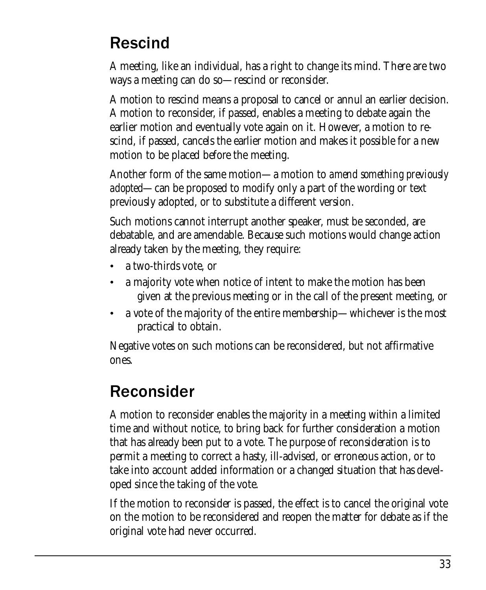#### Rescind

A meeting, like an individual, has a right to change its mind. There are two ways a meeting can do so—rescind or reconsider.

A motion to rescind means a proposal to cancel or annul an earlier decision. A motion to reconsider, if passed, enables a meeting to debate again the earlier motion and eventually vote again on it. However, a motion to rescind, if passed, cancels the earlier motion and makes it possible for a new motion to be placed before the meeting.

Another form of the same motion—a motion to *amend something previously adopted*—can be proposed to modify only a part of the wording or text previously adopted, or to substitute a different version.

Such motions cannot interrupt another speaker, must be seconded, are debatable, and are amendable. Because such motions would change action already taken by the meeting, they require:

- a two-thirds vote, or
- a majority vote when notice of intent to make the motion has been given at the previous meeting or in the call of the present meeting, or
- a vote of the majority of the entire membership—whichever is the most practical to obtain.

Negative votes on such motions can be reconsidered, but not affirmative ones.

# Reconsider

A motion to reconsider enables the majority in a meeting within a limited time and without notice, to bring back for further consideration a motion that has already been put to a vote. The purpose of reconsideration is to permit a meeting to correct a hasty, ill-advised, or erroneous action, or to take into account added information or a changed situation that has developed since the taking of the vote.

If the motion to reconsider is passed, the effect is to cancel the original vote on the motion to be reconsidered and reopen the matter for debate as if the original vote had never occurred.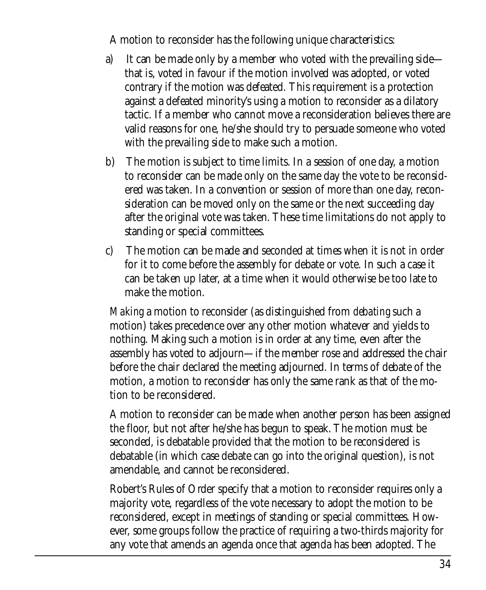A motion to reconsider has the following unique characteristics:

- a) It can be made only by a member who voted with the prevailing side that is, voted in favour if the motion involved was adopted, or voted contrary if the motion was defeated. This requirement is a protection against a defeated minority's using a motion to reconsider as a dilatory tactic. If a member who cannot move a reconsideration believes there are valid reasons for one, he/she should try to persuade someone who voted with the prevailing side to make such a motion.
- b) The motion is subject to time limits. In a session of one day, a motion to reconsider can be made only on the same day the vote to be reconsidered was taken. In a convention or session of more than one day, reconsideration can be moved only on the same or the next succeeding day after the original vote was taken. These time limitations do not apply to standing or special committees.
- c) The motion can be made and seconded at times when it is not in order for it to come before the assembly for debate or vote. In such a case it can be taken up later, at a time when it would otherwise be too late to make the motion.

*Making* a motion to reconsider (as distinguished from *debating* such a motion) takes precedence over any other motion whatever and yields to nothing. Making such a motion is in order at any time, even after the assembly has voted to adjourn—if the member rose and addressed the chair before the chair declared the meeting adjourned. In terms of debate of the motion, a motion to reconsider has only the same rank as that of the motion to be reconsidered.

A motion to reconsider can be made when another person has been assigned the floor, but not after he/she has begun to speak. The motion must be seconded, is debatable provided that the motion to be reconsidered is debatable (in which case debate can go into the original question), is not amendable, and cannot be reconsidered.

Robert's Rules of Order specify that a motion to reconsider requires only a majority vote, regardless of the vote necessary to adopt the motion to be reconsidered, except in meetings of standing or special committees. However, some groups follow the practice of requiring a two-thirds majority for any vote that amends an agenda once that agenda has been adopted. The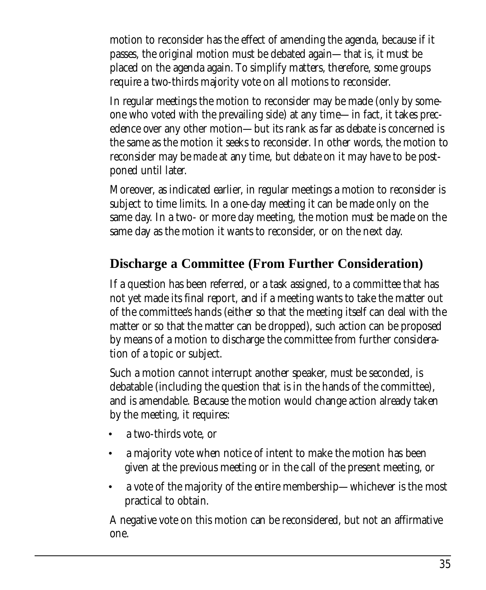motion to reconsider has the effect of amending the agenda, because if it passes, the original motion must be debated again—that is, it must be placed on the agenda again. To simplify matters, therefore, some groups require a two-thirds majority vote on all motions to reconsider.

In regular meetings the motion to reconsider may be made (only by someone who voted with the prevailing side) at any time—in fact, it takes precedence over any other motion—but its rank as far as debate is concerned is the same as the motion it seeks to reconsider. In other words, the motion to reconsider may be *made* at any time, but *debate* on it may have to be postponed until later.

Moreover, as indicated earlier, in regular meetings a motion to reconsider is subject to time limits. In a one-day meeting it can be made only on the same day. In a two- or more day meeting, the motion must be made on the same day as the motion it wants to reconsider, or on the next day.

#### **Discharge a Committee (From Further Consideration)**

If a question has been referred, or a task assigned, to a committee that has not yet made its final report, and if a meeting wants to take the matter out of the committee's hands (either so that the meeting itself can deal with the matter or so that the matter can be dropped), such action can be proposed by means of a motion to discharge the committee from further consideration of a topic or subject.

Such a motion cannot interrupt another speaker, must be seconded, is debatable (including the question that is in the hands of the committee), and is amendable. Because the motion would change action already taken by the meeting, it requires:

- a two-thirds vote, or
- a majority vote when notice of intent to make the motion has been given at the previous meeting or in the call of the present meeting, or
- a vote of the majority of the entire membership—whichever is the most practical to obtain.

A negative vote on this motion can be reconsidered, but not an affirmative one.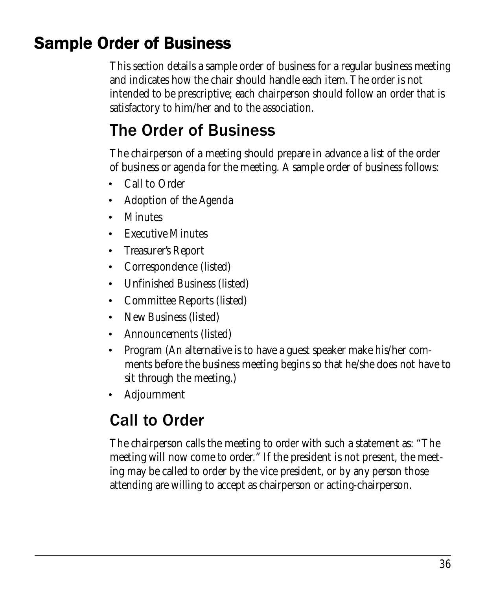# **Sample Order of Business**

This section details a sample order of business for a regular business meeting and indicates how the chair should handle each item. The order is not intended to be prescriptive; each chairperson should follow an order that is satisfactory to him/her and to the association.

#### The Order of Business

The chairperson of a meeting should prepare in advance a list of the order of business or agenda for the meeting. A sample order of business follows:

- Call to Order
- Adoption of the Agenda
- **Minutes**
- Executive Minutes
- Treasurer's Report
- Correspondence (listed)
- Unfinished Business (listed)
- Committee Reports (listed)
- New Business (listed)
- Announcements (listed)
- Program (An alternative is to have a guest speaker make his/her comments before the business meeting begins so that he/she does not have to sit through the meeting.)
- Adjournment

# Call to Order

The chairperson calls the meeting to order with such a statement as: "The meeting will now come to order." If the president is not present, the meeting may be called to order by the vice president, or by any person those attending are willing to accept as chairperson or acting-chairperson.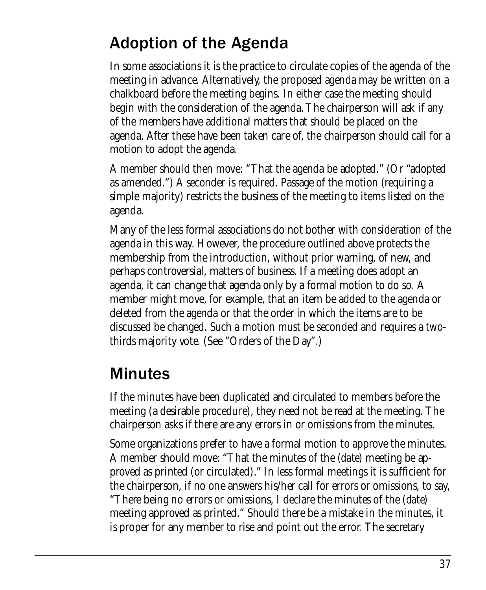#### Adoption of the Agenda

In some associations it is the practice to circulate copies of the agenda of the meeting in advance. Alternatively, the proposed agenda may be written on a chalkboard before the meeting begins. In either case the meeting should begin with the consideration of the agenda. The chairperson will ask if any of the members have additional matters that should be placed on the agenda. After these have been taken care of, the chairperson should call for a motion to adopt the agenda.

A member should then move: "That the agenda be adopted." (Or "adopted as amended.") A seconder is required. Passage of the motion (requiring a simple majority) restricts the business of the meeting to items listed on the agenda.

Many of the less formal associations do not bother with consideration of the agenda in this way. However, the procedure outlined above protects the membership from the introduction, without prior warning, of new, and perhaps controversial, matters of business. If a meeting does adopt an agenda, it can change that agenda only by a formal motion to do so. A member might move, for example, that an item be added to the agenda or deleted from the agenda or that the order in which the items are to be discussed be changed. Such a motion must be seconded and requires a twothirds majority vote. (See "Orders of the Day".)

## Minutes

If the minutes have been duplicated and circulated to members before the meeting (a desirable procedure), they need not be read at the meeting. The chairperson asks if there are any errors in or omissions from the minutes.

Some organizations prefer to have a formal motion to approve the minutes. A member should move: "That the minutes of the (*date*) meeting be approved as printed (or circulated)." In less formal meetings it is sufficient for the chairperson, if no one answers his/her call for errors or omissions, to say, "There being no errors or omissions, I declare the minutes of the (*date*) meeting approved as printed." Should there be a mistake in the minutes, it is proper for any member to rise and point out the error. The secretary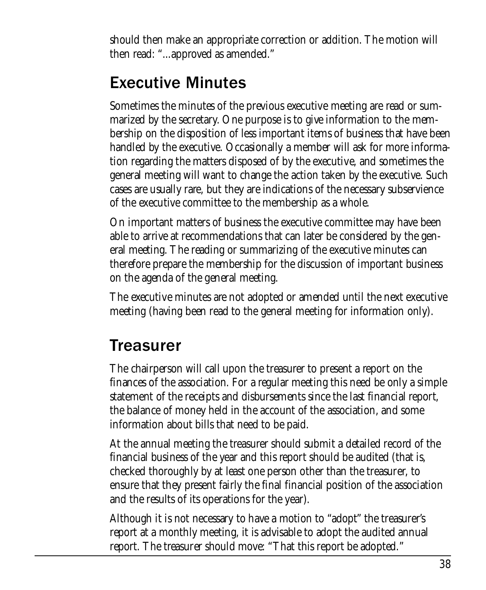should then make an appropriate correction or addition. The motion will then read: "...approved as amended."

# Executive Minutes

Sometimes the minutes of the previous executive meeting are read or summarized by the secretary. One purpose is to give information to the membership on the disposition of less important items of business that have been handled by the executive. Occasionally a member will ask for more information regarding the matters disposed of by the executive, and sometimes the general meeting will want to change the action taken by the executive. Such cases are usually rare, but they are indications of the necessary subservience of the executive committee to the membership as a whole.

On important matters of business the executive committee may have been able to arrive at recommendations that can later be considered by the general meeting. The reading or summarizing of the executive minutes can therefore prepare the membership for the discussion of important business on the agenda of the general meeting.

The executive minutes are not adopted or amended until the next executive meeting (having been read to the general meeting for information only).

## **Treasurer**

The chairperson will call upon the treasurer to present a report on the finances of the association. For a regular meeting this need be only a simple statement of the receipts and disbursements since the last financial report, the balance of money held in the account of the association, and some information about bills that need to be paid.

At the annual meeting the treasurer should submit a detailed record of the financial business of the year and this report should be audited (that is, checked thoroughly by at least one person other than the treasurer, to ensure that they present fairly the final financial position of the association and the results of its operations for the year).

Although it is not necessary to have a motion to "adopt" the treasurer's report at a monthly meeting, it is advisable to adopt the audited annual report. The treasurer should move: "That this report be adopted."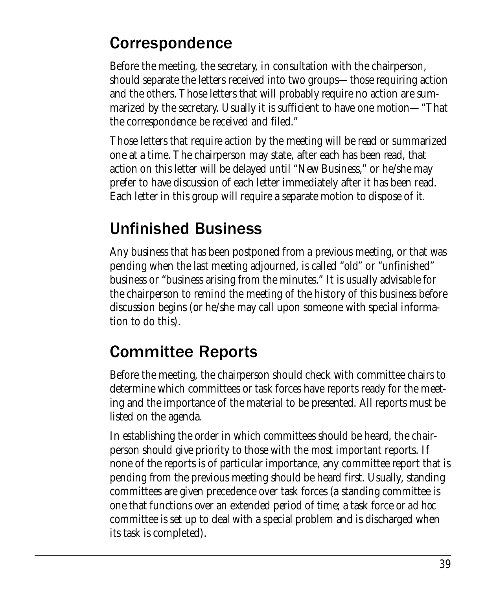#### Correspondence

Before the meeting, the secretary, in consultation with the chairperson, should separate the letters received into two groups—those requiring action and the others. Those letters that will probably require no action are summarized by the secretary. Usually it is sufficient to have one motion—"That the correspondence be received and filed."

Those letters that require action by the meeting will be read or summarized one at a time. The chairperson may state, after each has been read, that action on this letter will be delayed until "New Business," or he/she may prefer to have discussion of each letter immediately after it has been read. Each letter in this group will require a separate motion to dispose of it.

#### Unfinished Business

Any business that has been postponed from a previous meeting, or that was pending when the last meeting adjourned, is called "old" or "unfinished" business or "business arising from the minutes." It is usually advisable for the chairperson to remind the meeting of the history of this business before discussion begins (or he/she may call upon someone with special information to do this).

## Committee Reports

Before the meeting, the chairperson should check with committee chairs to determine which committees or task forces have reports ready for the meeting and the importance of the material to be presented. All reports must be listed on the agenda.

In establishing the order in which committees should be heard, the chairperson should give priority to those with the most important reports. If none of the reports is of particular importance, any committee report that is pending from the previous meeting should be heard first. Usually, standing committees are given precedence over task forces (a standing committee is one that functions over an extended period of time; a task force or *ad hoc* committee is set up to deal with a special problem and is discharged when its task is completed).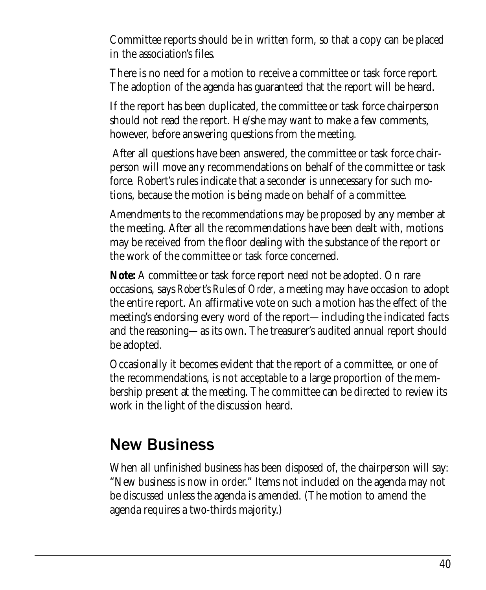Committee reports should be in written form, so that a copy can be placed in the association's files.

There is no need for a motion to receive a committee or task force report. The adoption of the agenda has guaranteed that the report will be heard.

If the report has been duplicated, the committee or task force chairperson should not read the report. He/she may want to make a few comments, however, before answering questions from the meeting.

 After all questions have been answered, the committee or task force chairperson will move any recommendations on behalf of the committee or task force. Robert's rules indicate that a seconder is unnecessary for such motions, because the motion is being made on behalf of a committee.

Amendments to the recommendations may be proposed by any member at the meeting. After all the recommendations have been dealt with, motions may be received from the floor dealing with the substance of the report or the work of the committee or task force concerned.

**Note:** A committee or task force report need not be adopted. On rare occasions, says *Robert's Rules of Order,* a meeting may have occasion to adopt the entire report. An affirmative vote on such a motion has the effect of the meeting's endorsing every word of the report—including the indicated facts and the reasoning—as its own. The treasurer's audited annual report should be adopted.

Occasionally it becomes evident that the report of a committee, or one of the recommendations, is not acceptable to a large proportion of the membership present at the meeting. The committee can be directed to review its work in the light of the discussion heard.

#### New Business

When all unfinished business has been disposed of, the chairperson will say: "New business is now in order." Items not included on the agenda may not be discussed unless the agenda is amended. (The motion to amend the agenda requires a two-thirds majority.)